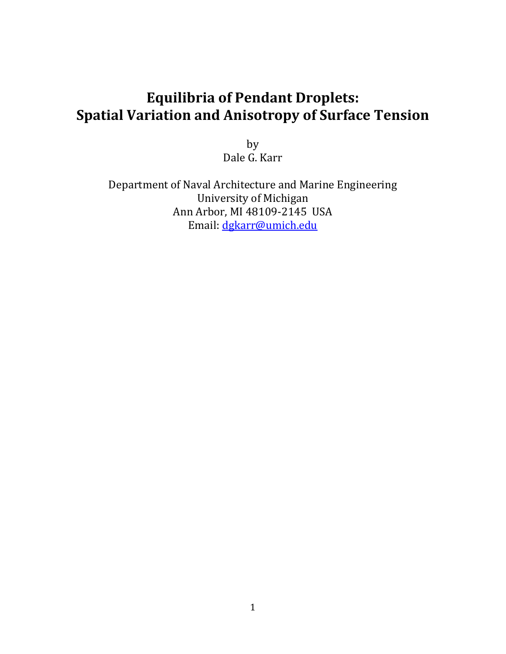# **Equilibria of Pendant Droplets: Spatial Variation and Anisotropy of Surface Tension**

by Dale G. Karr

Department of Naval Architecture and Marine Engineering University of Michigan Ann Arbor, MI 48109-2145 USA Email: [dgkarr@umich.edu](mailto:dgkarr@umich.edu)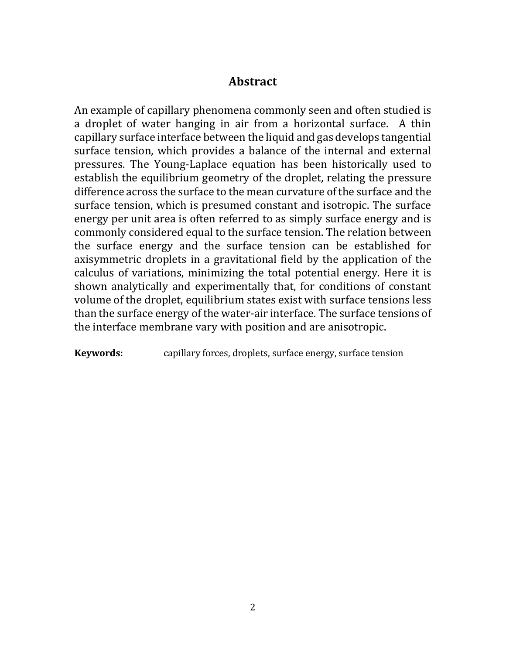### **Abstract**

An example of capillary phenomena commonly seen and often studied is a droplet of water hanging in air from a horizontal surface. A thin capillary surface interface between the liquid and gas develops tangential surface tension, which provides a balance of the internal and external pressures. The Young-Laplace equation has been historically used to establish the equilibrium geometry of the droplet, relating the pressure difference across the surface to the mean curvature of the surface and the surface tension, which is presumed constant and isotropic. The surface energy per unit area is often referred to as simply surface energy and is commonly considered equal to the surface tension. The relation between the surface energy and the surface tension can be established for axisymmetric droplets in a gravitational field by the application of the calculus of variations, minimizing the total potential energy. Here it is shown analytically and experimentally that, for conditions of constant volume of the droplet, equilibrium states exist with surface tensions less than the surface energy of the water-air interface. The surface tensions of the interface membrane vary with position and are anisotropic.

**Keywords:** capillary forces, droplets, surface energy, surface tension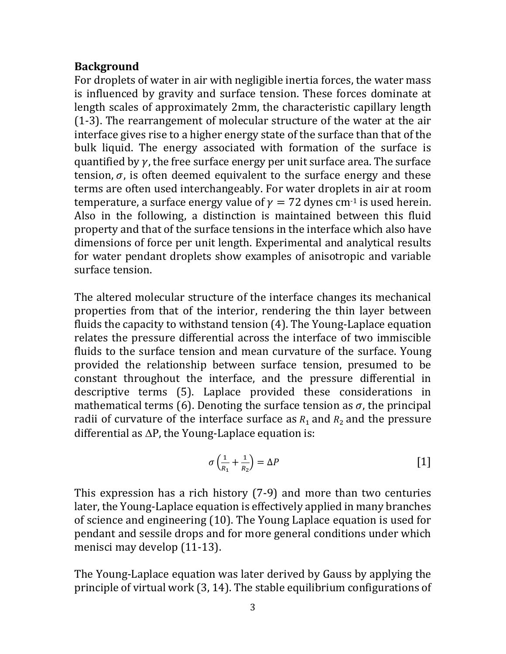### **Background**

For droplets of water in air with negligible inertia forces, the water mass is influenced by gravity and surface tension. These forces dominate at length scales of approximately 2mm, the characteristic capillary length (1-3). The rearrangement of molecular structure of the water at the air interface gives rise to a higher energy state of the surface than that of the bulk liquid. The energy associated with formation of the surface is quantified by  $\gamma$ , the free surface energy per unit surface area. The surface tension,  $\sigma$ , is often deemed equivalent to the surface energy and these terms are often used interchangeably. For water droplets in air at room temperature, a surface energy value of  $\gamma = 72$  dynes cm<sup>-1</sup> is used herein. Also in the following, a distinction is maintained between this fluid property and that of the surface tensions in the interface which also have dimensions of force per unit length. Experimental and analytical results for water pendant droplets show examples of anisotropic and variable surface tension.

The altered molecular structure of the interface changes its mechanical properties from that of the interior, rendering the thin layer between fluids the capacity to withstand tension (4). The Young-Laplace equation relates the pressure differential across the interface of two immiscible fluids to the surface tension and mean curvature of the surface. Young provided the relationship between surface tension, presumed to be constant throughout the interface, and the pressure differential in descriptive terms (5). Laplace provided these considerations in mathematical terms (6). Denoting the surface tension as  $\sigma$ , the principal radii of curvature of the interface surface as  $R_1$  and  $R_2$  and the pressure differential as  $\Delta P$ , the Young-Laplace equation is:

$$
\sigma\left(\frac{1}{R_1} + \frac{1}{R_2}\right) = \Delta P \tag{1}
$$

This expression has a rich history (7-9) and more than two centuries later, the Young-Laplace equation is effectively applied in many branches of science and engineering (10). The Young Laplace equation is used for pendant and sessile drops and for more general conditions under which menisci may develop (11-13).

The Young-Laplace equation was later derived by Gauss by applying the principle of virtual work (3, 14). The stable equilibrium configurations of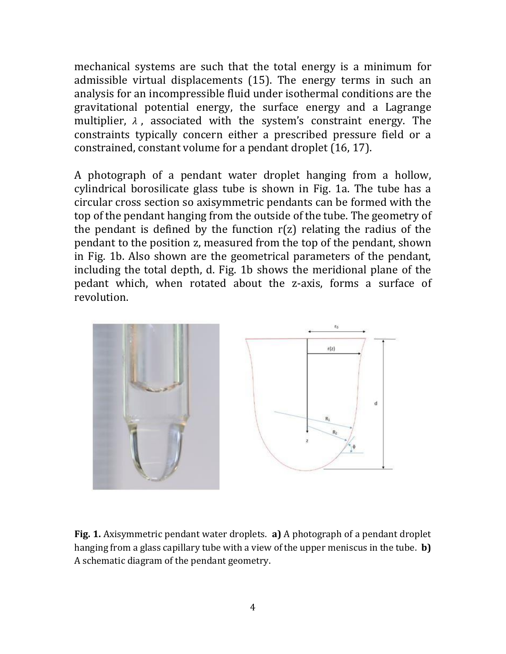mechanical systems are such that the total energy is a minimum for admissible virtual displacements (15). The energy terms in such an analysis for an incompressible fluid under isothermal conditions are the gravitational potential energy, the surface energy and a Lagrange multiplier,  $\lambda$ , associated with the system's constraint energy. The constraints typically concern either a prescribed pressure field or a constrained, constant volume for a pendant droplet (16, 17).

A photograph of a pendant water droplet hanging from a hollow, cylindrical borosilicate glass tube is shown in Fig. 1a. The tube has a circular cross section so axisymmetric pendants can be formed with the top of the pendant hanging from the outside of the tube. The geometry of the pendant is defined by the function  $r(z)$  relating the radius of the pendant to the position z, measured from the top of the pendant, shown in Fig. 1b. Also shown are the geometrical parameters of the pendant, including the total depth, d. Fig. 1b shows the meridional plane of the pedant which, when rotated about the z-axis, forms a surface of revolution.



**Fig. 1.** Axisymmetric pendant water droplets. **a)** A photograph of a pendant droplet hanging from a glass capillary tube with a view of the upper meniscus in the tube. **b)** A schematic diagram of the pendant geometry.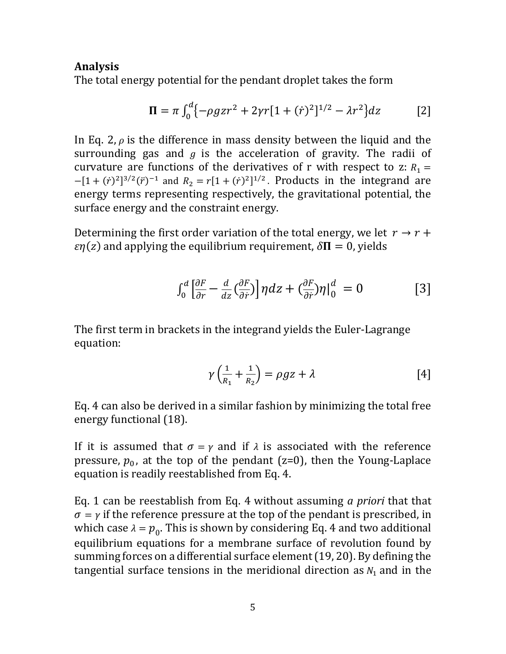### **Analysis**

The total energy potential for the pendant droplet takes the form

$$
\Pi = \pi \int_0^d \{-\rho g z r^2 + 2\gamma r [1 + (\dot{r})^2]^{1/2} - \lambda r^2 \} dz
$$
 [2]

In Eq. 2,  $\rho$  is the difference in mass density between the liquid and the surrounding gas and  $g$  is the acceleration of gravity. The radii of curvature are functions of the derivatives of r with respect to z:  $R_1 =$  $-[1 + (\dot{r})^2]^{3/2}(\ddot{r})^{-1}$  and  $R_2 = r[1 + (\dot{r})^2]^{1/2}$ . Products in the integrand are energy terms representing respectively, the gravitational potential, the surface energy and the constraint energy.

Determining the first order variation of the total energy, we let  $r \rightarrow r +$  $\epsilon \eta(z)$  and applying the equilibrium requirement,  $\delta \Pi = 0$ , yields

$$
\int_0^d \left[ \frac{\partial F}{\partial r} - \frac{d}{dz} \left( \frac{\partial F}{\partial r} \right) \right] \eta dz + \left( \frac{\partial F}{\partial r} \right) \eta \Big|_0^d = 0 \tag{3}
$$

The first term in brackets in the integrand yields the Euler-Lagrange equation:

$$
\gamma\left(\frac{1}{R_1} + \frac{1}{R_2}\right) = \rho gz + \lambda \tag{4}
$$

Eq. 4 can also be derived in a similar fashion by minimizing the total free energy functional (18).

If it is assumed that  $\sigma = \gamma$  and if  $\lambda$  is associated with the reference pressure,  $p_0$ , at the top of the pendant (z=0), then the Young-Laplace equation is readily reestablished from Eq. 4.

Eq. 1 can be reestablish from Eq. 4 without assuming *a priori* that that  $\sigma = \gamma$  if the reference pressure at the top of the pendant is prescribed, in which case  $\lambda = p_0$ . This is shown by considering Eq. 4 and two additional equilibrium equations for a membrane surface of revolution found by summing forces on a differential surface element (19, 20). By defining the tangential surface tensions in the meridional direction as  $N_1$  and in the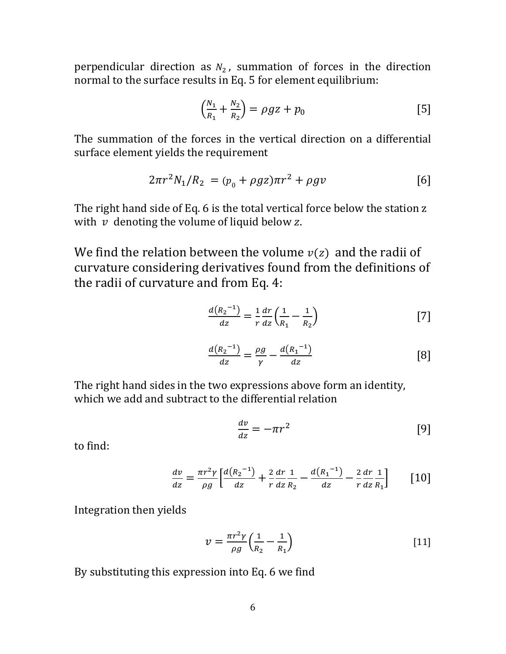perpendicular direction as  $N_2$ , summation of forces in the direction normal to the surface results in Eq. 5 for element equilibrium:

$$
\left(\frac{N_1}{R_1} + \frac{N_2}{R_2}\right) = \rho g z + p_0 \tag{5}
$$

The summation of the forces in the vertical direction on a differential surface element yields the requirement

$$
2\pi r^2 N_1/R_2 = (p_0 + \rho g z)\pi r^2 + \rho g v
$$
 [6]

The right hand side of Eq. 6 is the total vertical force below the station z with  $v$  denoting the volume of liquid below  $z$ .

We find the relation between the volume  $v(z)$  and the radii of curvature considering derivatives found from the definitions of the radii of curvature and from Eq. 4:

$$
\frac{d(R_2^{-1})}{dz} = \frac{1}{r} \frac{dr}{dz} \left(\frac{1}{R_1} - \frac{1}{R_2}\right)
$$
 [7]

$$
\frac{d(R_2^{-1})}{dz} = \frac{\rho g}{\gamma} - \frac{d(R_1^{-1})}{dz} \tag{8}
$$

The right hand sides in the two expressions above form an identity, which we add and subtract to the differential relation

$$
\frac{dv}{dz} = -\pi r^2 \tag{9}
$$

to find:

$$
\frac{dv}{dz} = \frac{\pi r^2 \gamma}{\rho g} \left[ \frac{d(R_2^{-1})}{dz} + \frac{2}{r} \frac{dr}{dz} \frac{1}{R_2} - \frac{d(R_1^{-1})}{dz} - \frac{2}{r} \frac{dr}{dz} \frac{1}{R_1} \right]
$$
 [10]

Integration then yields

$$
v = \frac{\pi r^2 \gamma}{\rho g} \left(\frac{1}{R_2} - \frac{1}{R_1}\right) \tag{11}
$$

By substituting this expression into Eq. 6 we find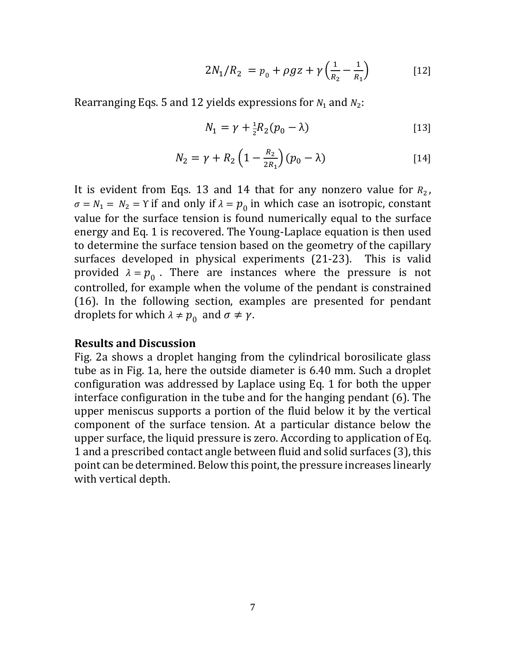$$
2N_1/R_2 = p_0 + \rho gz + \gamma \left(\frac{1}{R_2} - \frac{1}{R_1}\right)
$$
 [12]

Rearranging Eqs. 5 and 12 yields expressions for  $N_1$  and  $N_2$ :

$$
N_1 = \gamma + \frac{1}{2}R_2(p_0 - \lambda)
$$
 [13]

$$
N_2 = \gamma + R_2 \left( 1 - \frac{R_2}{2R_1} \right) (p_0 - \lambda)
$$
 [14]

It is evident from Eqs. 13 and 14 that for any nonzero value for  $R_2$ ,  $\sigma = N_1 = N_2 = \Upsilon$  if and only if  $\lambda = p_0$  in which case an isotropic, constant value for the surface tension is found numerically equal to the surface energy and Eq. 1 is recovered. The Young-Laplace equation is then used to determine the surface tension based on the geometry of the capillary surfaces developed in physical experiments (21-23). This is valid provided  $\lambda = p_0$ . There are instances where the pressure is not controlled, for example when the volume of the pendant is constrained (16). In the following section, examples are presented for pendant droplets for which  $\lambda \neq p_0$  and  $\sigma \neq \gamma$ .

#### **Results and Discussion**

Fig. 2a shows a droplet hanging from the cylindrical borosilicate glass tube as in Fig. 1a, here the outside diameter is 6.40 mm. Such a droplet configuration was addressed by Laplace using Eq. 1 for both the upper interface configuration in the tube and for the hanging pendant (6). The upper meniscus supports a portion of the fluid below it by the vertical component of the surface tension. At a particular distance below the upper surface, the liquid pressure is zero. According to application of Eq. 1 and a prescribed contact angle between fluid and solid surfaces (3), this point can be determined. Below this point, the pressure increases linearly with vertical depth.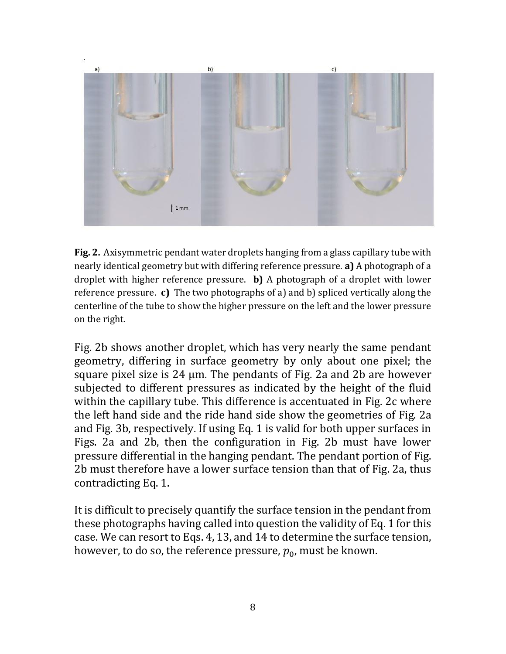

**Fig. 2.** Axisymmetric pendant water droplets hanging from a glass capillary tube with nearly identical geometry but with differing reference pressure. **a)** A photograph of a droplet with higher reference pressure. **b)** A photograph of a droplet with lower reference pressure. **c)** The two photographs of a) and b) spliced vertically along the centerline of the tube to show the higher pressure on the left and the lower pressure on the right.

Fig. 2b shows another droplet, which has very nearly the same pendant geometry, differing in surface geometry by only about one pixel; the square pixel size is 24 µm. The pendants of Fig. 2a and 2b are however subjected to different pressures as indicated by the height of the fluid within the capillary tube. This difference is accentuated in Fig. 2c where the left hand side and the ride hand side show the geometries of Fig. 2a and Fig. 3b, respectively. If using Eq. 1 is valid for both upper surfaces in Figs. 2a and 2b, then the configuration in Fig. 2b must have lower pressure differential in the hanging pendant. The pendant portion of Fig. 2b must therefore have a lower surface tension than that of Fig. 2a, thus contradicting Eq. 1.

It is difficult to precisely quantify the surface tension in the pendant from these photographs having called into question the validity of Eq. 1 for this case. We can resort to Eqs. 4, 13, and 14 to determine the surface tension, however, to do so, the reference pressure,  $p_0$ , must be known.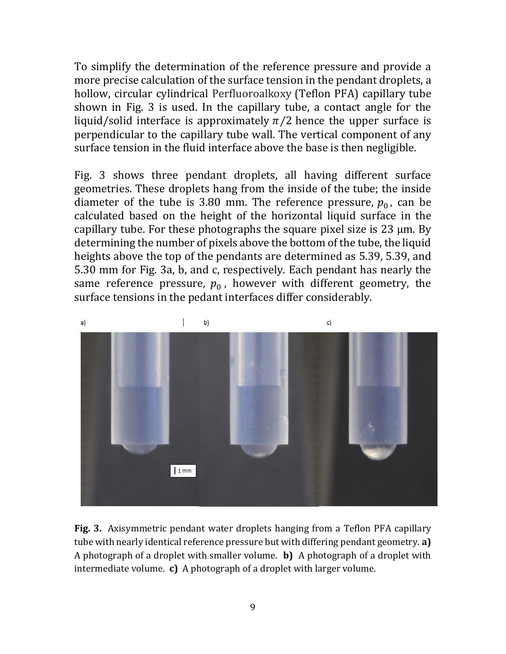To simplify the determination of the reference pressure and provide a more precise calculation of the surface tension in the pendant droplets, a hollow, circular cylindrical Perfluoroalkoxy (Teflon PFA) capillary tube shown in Fig. 3 is used. In the capillary tube, a contact angle for the liquid/solid interface is approximately  $\pi/2$  hence the upper surface is perpendicular to the capillary tube wall. The vertical component of any surface tension in the fluid interface above the base is then negligible.

Fig. 3 shows three pendant droplets, all having different surface geometries. These droplets hang from the inside of the tube; the inside diameter of the tube is 3.80 mm. The reference pressure,  $p_0$ , can be calculated based on the height of the horizontal liquid surface in the capillary tube. For these photographs the square pixel size is 23 µm. By determining the number of pixels above the bottom of the tube, the liquid heights above the top of the pendants are determined as 5.39, 5.39, and 5.30 mm for Fig. 3a, b, and c, respectively. Each pendant has nearly the same reference pressure,  $p_0$ , however with different geometry, the surface tensions in the pedant interfaces differ considerably.



**Fig. 3.** Axisymmetric pendant water droplets hanging from a Teflon PFA capillary tube with nearly identical reference pressure but with differing pendant geometry. **a)** A photograph of a droplet with smaller volume. **b)** A photograph of a droplet with intermediate volume. **c)** A photograph of a droplet with larger volume.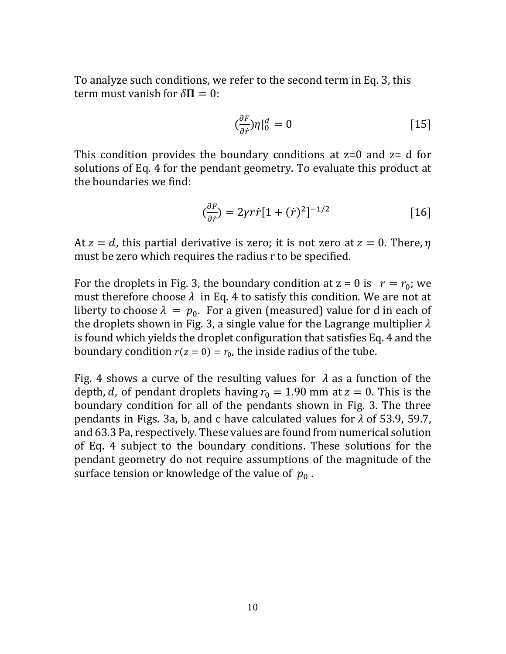To analyze such conditions, we refer to the second term in Eq. 3, this term must vanish for  $\delta \mathbf{\Pi} = 0$ :

$$
\left(\frac{\partial F}{\partial r}\right)\eta\left|_0^d = 0\right.\tag{15}
$$

This condition provides the boundary conditions at  $z=0$  and  $z=0$  for solutions of Eq. 4 for the pendant geometry. To evaluate this product at the boundaries we find:

$$
\left(\frac{\partial F}{\partial \dot{r}}\right) = 2\gamma r \dot{r} \left[1 + (\dot{r})^2\right]^{-1/2} \tag{16}
$$

At  $z = d$ , this partial derivative is zero; it is not zero at  $z = 0$ . There,  $\eta$ must be zero which requires the radius r to be specified.

For the droplets in Fig. 3, the boundary condition at  $z = 0$  is  $r = r_0$ ; we must therefore choose  $\lambda$  in Eq. 4 to satisfy this condition. We are not at liberty to choose  $\lambda = p_0$ . For a given (measured) value for d in each of the droplets shown in Fig. 3, a single value for the Lagrange multiplier  $\lambda$ is found which yields the droplet configuration that satisfies Eq. 4 and the boundary condition  $r(z = 0) = r_0$ , the inside radius of the tube.

Fig. 4 shows a curve of the resulting values for  $\lambda$  as a function of the depth, d, of pendant droplets having  $r_0 = 1.90$  mm at  $z = 0$ . This is the boundary condition for all of the pendants shown in Fig. 3. The three pendants in Figs. 3a, b, and c have calculated values for  $\lambda$  of 53.9, 59.7, and 63.3 Pa, respectively. These values are found from numerical solution of Eq. 4 subject to the boundary conditions. These solutions for the pendant geometry do not require assumptions of the magnitude of the surface tension or knowledge of the value of  $p_0$ .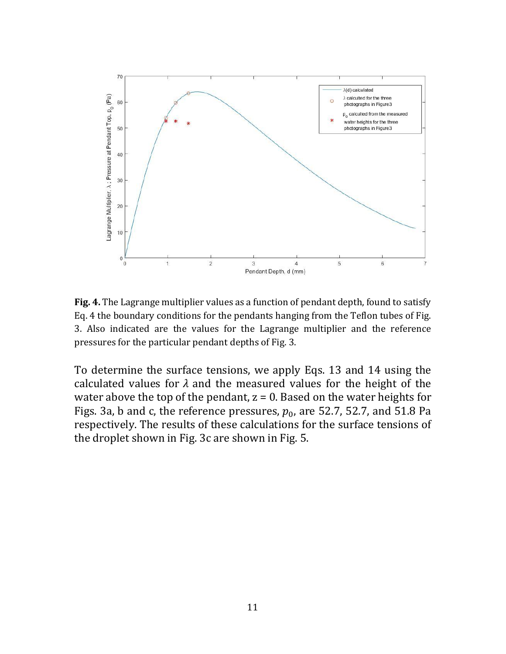

**Fig. 4.** The Lagrange multiplier values as a function of pendant depth, found to satisfy Eq. 4 the boundary conditions for the pendants hanging from the Teflon tubes of Fig. 3. Also indicated are the values for the Lagrange multiplier and the reference pressures for the particular pendant depths of Fig. 3.

To determine the surface tensions, we apply Eqs. 13 and 14 using the calculated values for  $\lambda$  and the measured values for the height of the water above the top of the pendant,  $z = 0$ . Based on the water heights for Figs. 3a, b and c, the reference pressures,  $p_0$ , are 52.7, 52.7, and 51.8 Pa respectively. The results of these calculations for the surface tensions of the droplet shown in Fig. 3c are shown in Fig. 5.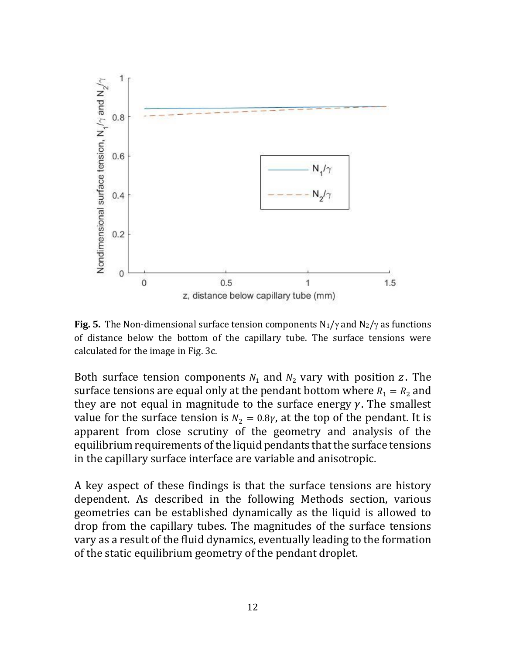

**Fig. 5.** The Non-dimensional surface tension components  $N_1/\gamma$  and  $N_2/\gamma$  as functions of distance below the bottom of the capillary tube. The surface tensions were calculated for the image in Fig. 3c.

Both surface tension components  $N_1$  and  $N_2$  vary with position z. The surface tensions are equal only at the pendant bottom where  $R_1 = R_2$  and they are not equal in magnitude to the surface energy  $\gamma$ . The smallest value for the surface tension is  $N_2 = 0.8\gamma$ , at the top of the pendant. It is apparent from close scrutiny of the geometry and analysis of the equilibrium requirements of the liquid pendants that the surface tensions in the capillary surface interface are variable and anisotropic.

A key aspect of these findings is that the surface tensions are history dependent. As described in the following Methods section, various geometries can be established dynamically as the liquid is allowed to drop from the capillary tubes. The magnitudes of the surface tensions vary as a result of the fluid dynamics, eventually leading to the formation of the static equilibrium geometry of the pendant droplet.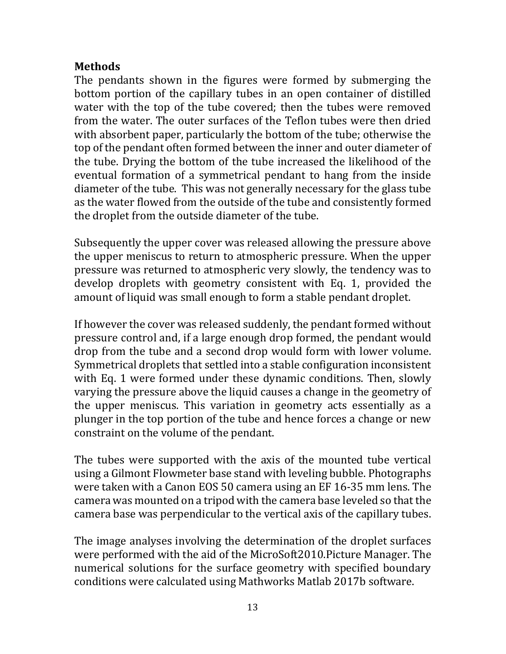### **Methods**

The pendants shown in the figures were formed by submerging the bottom portion of the capillary tubes in an open container of distilled water with the top of the tube covered; then the tubes were removed from the water. The outer surfaces of the Teflon tubes were then dried with absorbent paper, particularly the bottom of the tube; otherwise the top of the pendant often formed between the inner and outer diameter of the tube. Drying the bottom of the tube increased the likelihood of the eventual formation of a symmetrical pendant to hang from the inside diameter of the tube. This was not generally necessary for the glass tube as the water flowed from the outside of the tube and consistently formed the droplet from the outside diameter of the tube.

Subsequently the upper cover was released allowing the pressure above the upper meniscus to return to atmospheric pressure. When the upper pressure was returned to atmospheric very slowly, the tendency was to develop droplets with geometry consistent with Eq. 1, provided the amount of liquid was small enough to form a stable pendant droplet.

If however the cover was released suddenly, the pendant formed without pressure control and, if a large enough drop formed, the pendant would drop from the tube and a second drop would form with lower volume. Symmetrical droplets that settled into a stable configuration inconsistent with Eq. 1 were formed under these dynamic conditions. Then, slowly varying the pressure above the liquid causes a change in the geometry of the upper meniscus. This variation in geometry acts essentially as a plunger in the top portion of the tube and hence forces a change or new constraint on the volume of the pendant.

The tubes were supported with the axis of the mounted tube vertical using a Gilmont Flowmeter base stand with leveling bubble. Photographs were taken with a Canon EOS 50 camera using an EF 16-35 mm lens. The camera was mounted on a tripod with the camera base leveled so that the camera base was perpendicular to the vertical axis of the capillary tubes.

The image analyses involving the determination of the droplet surfaces were performed with the aid of the MicroSoft2010.Picture Manager. The numerical solutions for the surface geometry with specified boundary conditions were calculated using Mathworks Matlab 2017b software.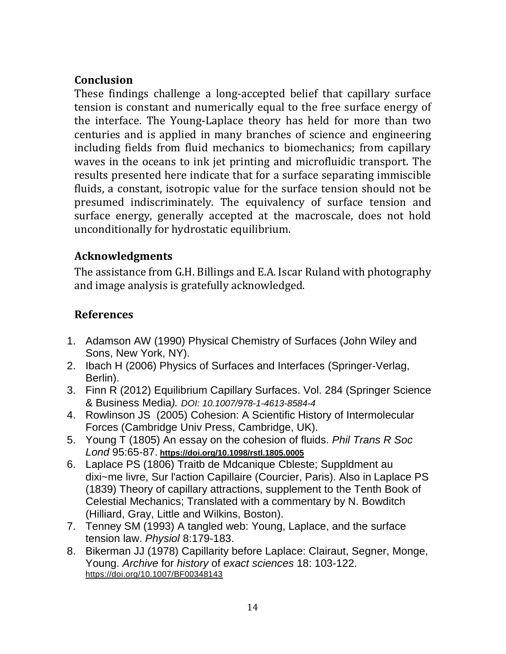## **Conclusion**

These findings challenge a long-accepted belief that capillary surface tension is constant and numerically equal to the free surface energy of the interface. The Young-Laplace theory has held for more than two centuries and is applied in many branches of science and engineering including fields from fluid mechanics to biomechanics; from capillary waves in the oceans to ink jet printing and microfluidic transport. The results presented here indicate that for a surface separating immiscible fluids, a constant, isotropic value for the surface tension should not be presumed indiscriminately. The equivalency of surface tension and surface energy, generally accepted at the macroscale, does not hold unconditionally for hydrostatic equilibrium.

## **Acknowledgments**

The assistance from G.H. Billings and E.A. Iscar Ruland with photography and image analysis is gratefully acknowledged.

## **References**

- 1. Adamson AW (1990) Physical Chemistry of Surfaces (John Wiley and Sons, New York, NY).
- 2. Ibach H (2006) Physics of Surfaces and Interfaces (Springer-Verlag, Berlin).
- 3. Finn R (2012) Equilibrium Capillary Surfaces. Vol. 284 (Springer Science & Business Media*). DOI: 10.1007/978-1-4613-8584-4*
- 4. Rowlinson JS (2005) Cohesion: A Scientific History of Intermolecular Forces (Cambridge Univ Press, Cambridge, UK).
- 5. Young T (1805) An essay on the cohesion of fluids. *Phil Trans R Soc Lond* 95:65-87. **<https://doi.org/10.1098/rstl.1805.0005>**
- 6. Laplace PS (1806) Traitb de Mdcanique Cbleste; Suppldment au dixi~me livre, Sur l'action Capillaire (Courcier, Paris). Also in Laplace PS (1839) Theory of capillary attractions, supplement to the Tenth Book of Celestial Mechanics; Translated with a commentary by N. Bowditch (Hilliard, Gray, Little and Wilkins, Boston).
- 7. Tenney SM (1993) A tangled web: Young, Laplace, and the surface tension law. *Physiol* 8:179-183.
- 8. Bikerman JJ (1978) Capillarity before Laplace: Clairaut, Segner, Monge, Young. *Archive* for *history* of *exact sciences* 18: 103-122. https://doi.org/10.1007/BF00348143